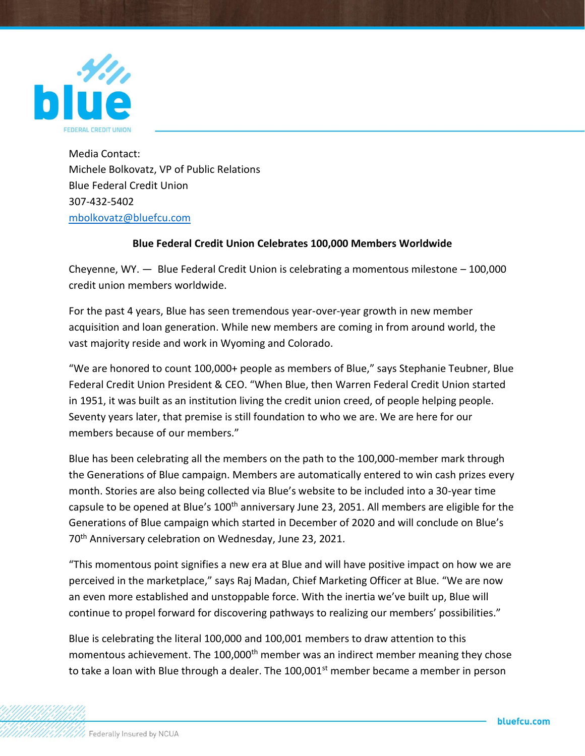

Media Contact: Michele Bolkovatz, VP of Public Relations Blue Federal Credit Union 307-432-5402 [mbolkovatz@bluefcu.com](mailto:mbolkovatz@bluefcu.com)

## **Blue Federal Credit Union Celebrates 100,000 Members Worldwide**

Cheyenne, WY.  $-$  Blue Federal Credit Union is celebrating a momentous milestone  $-100,000$ credit union members worldwide.

For the past 4 years, Blue has seen tremendous year-over-year growth in new member acquisition and loan generation. While new members are coming in from around world, the vast majority reside and work in Wyoming and Colorado.

"We are honored to count 100,000+ people as members of Blue," says Stephanie Teubner, Blue Federal Credit Union President & CEO. "When Blue, then Warren Federal Credit Union started in 1951, it was built as an institution living the credit union creed, of people helping people. Seventy years later, that premise is still foundation to who we are. We are here for our members because of our members."

Blue has been celebrating all the members on the path to the 100,000-member mark through the Generations of Blue campaign. Members are automatically entered to win cash prizes every month. Stories are also being collected via Blue's website to be included into a 30-year time capsule to be opened at Blue's 100<sup>th</sup> anniversary June 23, 2051. All members are eligible for the Generations of Blue campaign which started in December of 2020 and will conclude on Blue's 70<sup>th</sup> Anniversary celebration on Wednesday, June 23, 2021.

"This momentous point signifies a new era at Blue and will have positive impact on how we are perceived in the marketplace," says Raj Madan, Chief Marketing Officer at Blue. "We are now an even more established and unstoppable force. With the inertia we've built up, Blue will continue to propel forward for discovering pathways to realizing our members' possibilities."

Blue is celebrating the literal 100,000 and 100,001 members to draw attention to this momentous achievement. The 100,000<sup>th</sup> member was an indirect member meaning they chose to take a loan with Blue through a dealer. The  $100,001^{st}$  member became a member in person